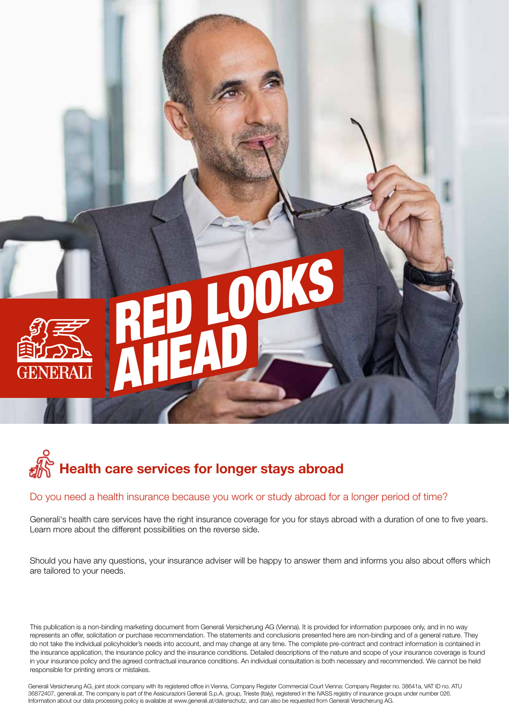## DO LS AHEAD



## Do you need a health insurance because you work or study abroad for a longer period of time?

Generali's health care services have the right insurance coverage for you for stays abroad with a duration of one to five years. Learn more about the different possibilities on the reverse side.

Should you have any questions, your insurance adviser will be happy to answer them and informs you also about offers which are tailored to your needs.

This publication is a non-binding marketing document from Generali Versicherung AG (Vienna). It is provided for information purposes only, and in no way represents an offer, solicitation or purchase recommendation. The statements and conclusions presented here are non-binding and of a general nature. They do not take the individual policyholder's needs into account, and may change at any time. The complete pre-contract and contract information is contained in the insurance application, the insurance policy and the insurance conditions. Detailed descriptions of the nature and scope of your insurance coverage is found in your insurance policy and the agreed contractual insurance conditions. An individual consultation is both necessary and recommended. We cannot be held responsible for printing errors or mistakes.

Generali Versicherung AG, joint stock company with its registered office in Vienna, Company Register Commercial Court Vienna: Company Register no. 38641a, VAT ID no. ATU 36872407, generali.at. The company is part of the Assicurazioni Generali S.p.A. group, Trieste (Italy), registered in the IVASS registry of insurance groups under number 026. Information about our data processing policy is available at www.generali.at/datenschutz, and can also be requested from Generali Versicherung AG.